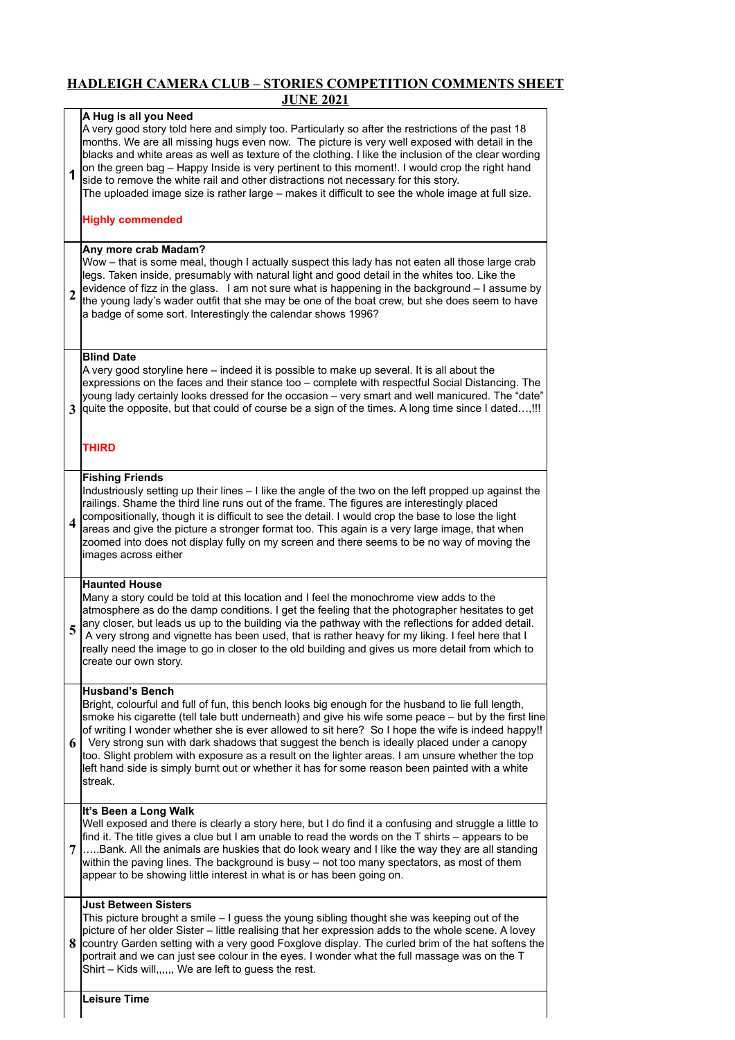## **HADLEIGH CAMERA CLUB – STORIES COMPETITION COMMENTS SHEET JUNE 2021**

|   | JUNE 2021                                                                                                                                                                                                                                                                                                                                                                                                                                                                                                                                                                                                                                                   |
|---|-------------------------------------------------------------------------------------------------------------------------------------------------------------------------------------------------------------------------------------------------------------------------------------------------------------------------------------------------------------------------------------------------------------------------------------------------------------------------------------------------------------------------------------------------------------------------------------------------------------------------------------------------------------|
| 1 | A Hug is all you Need<br>A very good story told here and simply too. Particularly so after the restrictions of the past 18<br>months. We are all missing hugs even now. The picture is very well exposed with detail in the<br>blacks and white areas as well as texture of the clothing. I like the inclusion of the clear wording<br>on the green bag - Happy Inside is very pertinent to this moment!. I would crop the right hand<br>side to remove the white rail and other distractions not necessary for this story.<br>The uploaded image size is rather large - makes it difficult to see the whole image at full size.<br><b>Highly commended</b> |
| 2 | Any more crab Madam?<br>Wow - that is some meal, though I actually suspect this lady has not eaten all those large crab<br>legs. Taken inside, presumably with natural light and good detail in the whites too. Like the<br>evidence of fizz in the glass. I am not sure what is happening in the background - I assume by<br>the young lady's wader outfit that she may be one of the boat crew, but she does seem to have<br>a badge of some sort. Interestingly the calendar shows 1996?                                                                                                                                                                 |
| 3 | <b>Blind Date</b><br>A very good storyline here – indeed it is possible to make up several. It is all about the<br>expressions on the faces and their stance too - complete with respectful Social Distancing. The<br>young lady certainly looks dressed for the occasion - very smart and well manicured. The "date"<br>quite the opposite, but that could of course be a sign of the times. A long time since I dated,!!!<br>THIRD                                                                                                                                                                                                                        |
| 4 | <b>Fishing Friends</b><br>Industriously setting up their lines - I like the angle of the two on the left propped up against the<br>railings. Shame the third line runs out of the frame. The figures are interestingly placed<br>compositionally, though it is difficult to see the detail. I would crop the base to lose the light<br>areas and give the picture a stronger format too. This again is a very large image, that when<br>zoomed into does not display fully on my screen and there seems to be no way of moving the<br>images across either                                                                                                  |
| 5 | <b>Haunted House</b><br>Many a story could be told at this location and I feel the monochrome view adds to the<br>atmosphere as do the damp conditions. I get the feeling that the photographer hesitates to get<br>any closer, but leads us up to the building via the pathway with the reflections for added detail.<br>A very strong and vignette has been used, that is rather heavy for my liking. I feel here that I<br>really need the image to go in closer to the old building and gives us more detail from which to<br>create our own story.                                                                                                     |
| 6 | <b>Husband's Bench</b><br>Bright, colourful and full of fun, this bench looks big enough for the husband to lie full length,<br>smoke his cigarette (tell tale butt underneath) and give his wife some peace - but by the first line<br>of writing I wonder whether she is ever allowed to sit here? So I hope the wife is indeed happy!!<br>Very strong sun with dark shadows that suggest the bench is ideally placed under a canopy<br>too. Slight problem with exposure as a result on the lighter areas. I am unsure whether the top<br>left hand side is simply burnt out or whether it has for some reason been painted with a white<br>streak.      |
| 7 | It's Been a Long Walk<br>Well exposed and there is clearly a story here, but I do find it a confusing and struggle a little to<br>find it. The title gives a clue but I am unable to read the words on the $T$ shirts – appears to be<br>Bank. All the animals are huskies that do look weary and I like the way they are all standing<br>within the paving lines. The background is busy - not too many spectators, as most of them<br>appear to be showing little interest in what is or has been going on.                                                                                                                                               |
| 8 | <b>Just Between Sisters</b><br>This picture brought a smile - I guess the young sibling thought she was keeping out of the<br>picture of her older Sister - little realising that her expression adds to the whole scene. A lovey<br>country Garden setting with a very good Foxglove display. The curled brim of the hat softens the<br>portrait and we can just see colour in the eyes. I wonder what the full massage was on the T<br>Shirt - Kids will,,,,,, We are left to guess the rest.                                                                                                                                                             |
|   | <b>Leisure Time</b>                                                                                                                                                                                                                                                                                                                                                                                                                                                                                                                                                                                                                                         |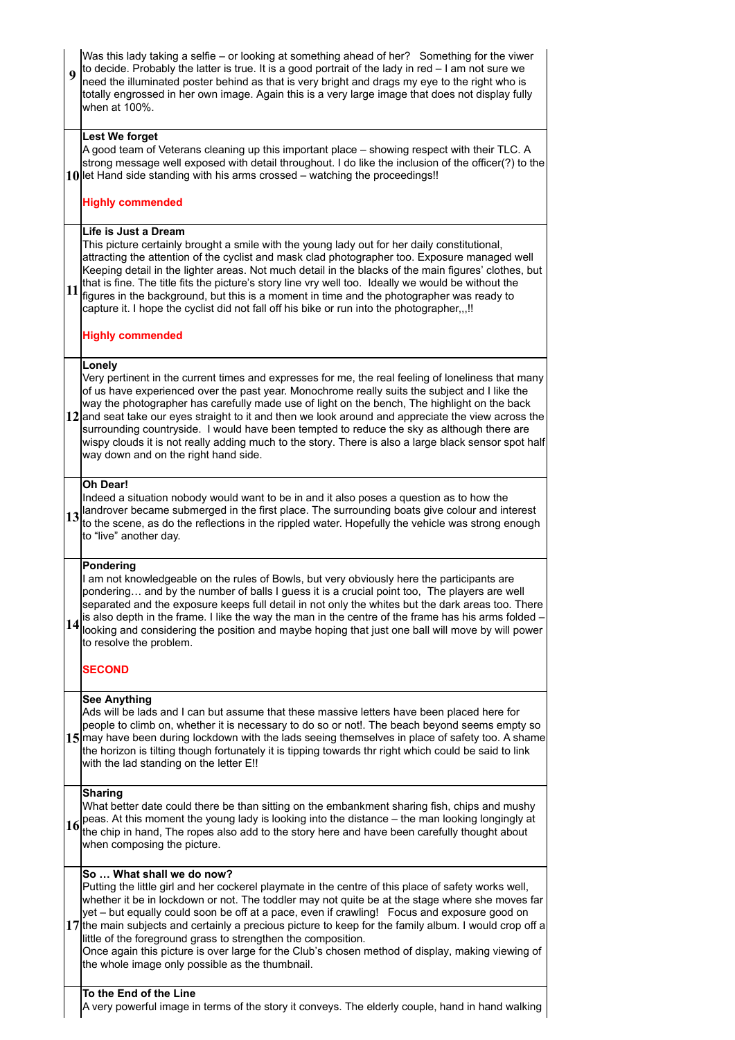| $\boldsymbol{9}$ | Was this lady taking a selfie - or looking at something ahead of her? Something for the viwer<br>to decide. Probably the latter is true. It is a good portrait of the lady in red - I am not sure we<br>need the illuminated poster behind as that is very bright and drags my eye to the right who is<br>totally engrossed in her own image. Again this is a very large image that does not display fully<br>when at 100%.                                                                                                                                                                                                                                          |
|------------------|----------------------------------------------------------------------------------------------------------------------------------------------------------------------------------------------------------------------------------------------------------------------------------------------------------------------------------------------------------------------------------------------------------------------------------------------------------------------------------------------------------------------------------------------------------------------------------------------------------------------------------------------------------------------|
|                  | <b>Lest We forget</b><br>A good team of Veterans cleaning up this important place - showing respect with their TLC. A<br>strong message well exposed with detail throughout. I do like the inclusion of the officer(?) to the<br>10 let Hand side standing with his arms crossed – watching the proceedings!!<br><b>Highly commended</b>                                                                                                                                                                                                                                                                                                                             |
|                  |                                                                                                                                                                                                                                                                                                                                                                                                                                                                                                                                                                                                                                                                      |
| 11               | Life is Just a Dream<br>This picture certainly brought a smile with the young lady out for her daily constitutional,<br>attracting the attention of the cyclist and mask clad photographer too. Exposure managed well<br>Keeping detail in the lighter areas. Not much detail in the blacks of the main figures' clothes, but<br>that is fine. The title fits the picture's story line vry well too. Ideally we would be without the<br>figures in the background, but this is a moment in time and the photographer was ready to<br>capture it. I hope the cyclist did not fall off his bike or run into the photographer,,,!!                                      |
|                  | <b>Highly commended</b>                                                                                                                                                                                                                                                                                                                                                                                                                                                                                                                                                                                                                                              |
|                  | Lonely<br>Very pertinent in the current times and expresses for me, the real feeling of loneliness that many<br>of us have experienced over the past year. Monochrome really suits the subject and I like the<br>way the photographer has carefully made use of light on the bench, The highlight on the back<br>12 and seat take our eyes straight to it and then we look around and appreciate the view across the<br>surrounding countryside. I would have been tempted to reduce the sky as although there are<br>wispy clouds it is not really adding much to the story. There is also a large black sensor spot half<br>way down and on the right hand side.   |
|                  | Oh Dear!<br>Indeed a situation nobody would want to be in and it also poses a question as to how the<br>13 and rover became submerged in the first place. The surrounding boats give colour and interest<br>to the scene, as do the reflections in the rippled water. Hopefully the vehicle was strong enough<br>to "live" another day.                                                                                                                                                                                                                                                                                                                              |
| 14               | <b>Pondering</b><br>I am not knowledgeable on the rules of Bowls, but very obviously here the participants are<br>pondering and by the number of balls I guess it is a crucial point too. The players are well<br>separated and the exposure keeps full detail in not only the whites but the dark areas too. There<br>is also depth in the frame. I like the way the man in the centre of the frame has his arms folded -<br>looking and considering the position and maybe hoping that just one ball will move by will power<br>to resolve the problem.                                                                                                            |
|                  | <b>SECOND</b>                                                                                                                                                                                                                                                                                                                                                                                                                                                                                                                                                                                                                                                        |
|                  | <b>See Anything</b><br>Ads will be lads and I can but assume that these massive letters have been placed here for<br>people to climb on, whether it is necessary to do so or not!. The beach beyond seems empty so<br>15 may have been during lockdown with the lads seeing themselves in place of safety too. A shame<br>the horizon is tilting though fortunately it is tipping towards thr right which could be said to link<br>with the lad standing on the letter E!!                                                                                                                                                                                           |
| 16               | <b>Sharing</b><br>What better date could there be than sitting on the embankment sharing fish, chips and mushy<br>peas. At this moment the young lady is looking into the distance – the man looking longingly at<br>the chip in hand, The ropes also add to the story here and have been carefully thought about<br>when composing the picture.                                                                                                                                                                                                                                                                                                                     |
|                  | So  What shall we do now?<br>Putting the little girl and her cockerel playmate in the centre of this place of safety works well,<br>whether it be in lockdown or not. The toddler may not quite be at the stage where she moves far<br>yet - but equally could soon be off at a pace, even if crawling! Focus and exposure good on<br>17 the main subjects and certainly a precious picture to keep for the family album. I would crop off a<br>little of the foreground grass to strengthen the composition.<br>Once again this picture is over large for the Club's chosen method of display, making viewing of<br>the whole image only possible as the thumbnail. |
|                  | To the End of the Line<br>A very powerful image in terms of the story it conveys. The elderly couple, hand in hand walking                                                                                                                                                                                                                                                                                                                                                                                                                                                                                                                                           |